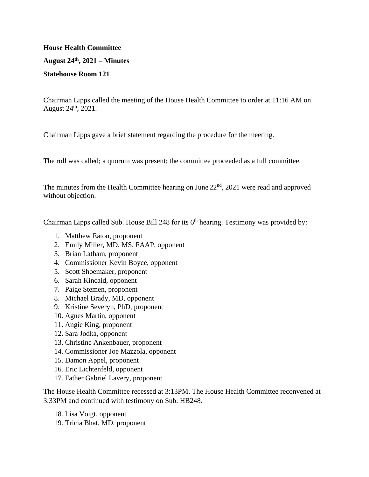## **House Health Committee August 24th, 2021 – Minutes Statehouse Room 121**

Chairman Lipps called the meeting of the House Health Committee to order at 11:16 AM on August  $24^{\text{th}}$ ,  $2021$ .

Chairman Lipps gave a brief statement regarding the procedure for the meeting.

The roll was called; a quorum was present; the committee proceeded as a full committee.

The minutes from the Health Committee hearing on June  $22<sup>nd</sup>$ ,  $2021$  were read and approved without objection.

Chairman Lipps called Sub. House Bill 248 for its 6<sup>th</sup> hearing. Testimony was provided by:

- 1. Matthew Eaton, proponent
- 2. Emily Miller, MD, MS, FAAP, opponent
- 3. Brian Latham, proponent
- 4. Commissioner Kevin Boyce, opponent
- 5. Scott Shoemaker, proponent
- 6. Sarah Kincaid, opponent
- 7. Paige Stemen, proponent
- 8. Michael Brady, MD, opponent
- 9. Kristine Severyn, PhD, proponent
- 10. Agnes Martin, opponent
- 11. Angie King, proponent
- 12. Sara Jodka, opponent
- 13. Christine Ankenbauer, proponent
- 14. Commissioner Joe Mazzola, opponent
- 15. Damon Appel, proponent
- 16. Eric Lichtenfeld, opponent
- 17. Father Gabriel Lavery, proponent

The House Health Committee recessed at 3:13PM. The House Health Committee reconvened at 3:33PM and continued with testimony on Sub. HB248.

- 18. Lisa Voigt, opponent
- 19. Tricia Bhat, MD, proponent